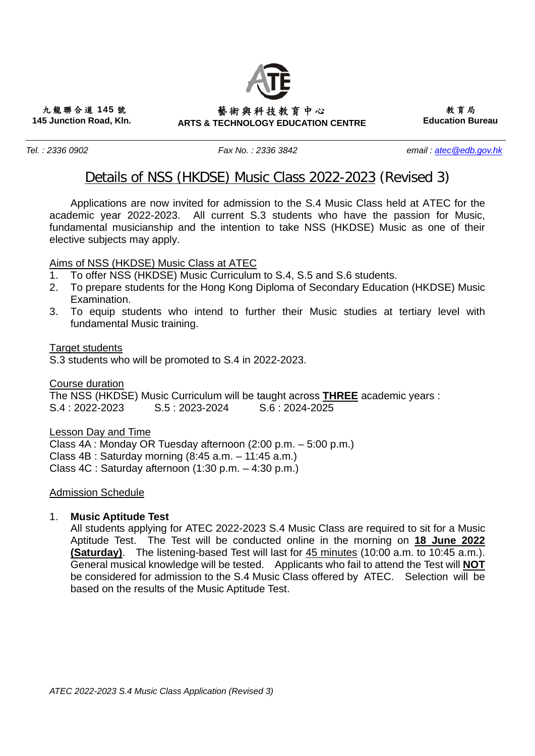# **ARTS & TECHNOLOGY EDUCATION CENTRE**  藝術與科技教育中心

九龍聯合道 **145** 號 **145 Junction Road, Kln.** 

*Tel. : 2336 0902 Fax No. : 2336 3842 email : atec@edb.gov.hk* 

教育局  **Education Bureau** 

# Details of NSS (HKDSE) Music Class 2022-2023 (Revised 3)

 Applications are now invited for admission to the S.4 Music Class held at ATEC for the academic year 2022-2023. All current S.3 students who have the passion for Music, fundamental musicianship and the intention to take NSS (HKDSE) Music as one of their elective subjects may apply.

# Aims of NSS (HKDSE) Music Class at ATEC

- 1. To offer NSS (HKDSE) Music Curriculum to S.4, S.5 and S.6 students.
- 2. To prepare students for the Hong Kong Diploma of Secondary Education (HKDSE) Music Examination.
- 3. To equip students who intend to further their Music studies at tertiary level with fundamental Music training.

Target students

S.3 students who will be promoted to S.4 in 2022-2023.

Course duration The NSS (HKDSE) Music Curriculum will be taught across **THREE** academic years : S.4 : 2022-2023 S.5 : 2023-2024 S.6 : 2024-2025

Lesson Day and Time Class 4A : Monday OR Tuesday afternoon (2:00 p.m. – 5:00 p.m.) Class 4B : Saturday morning (8:45 a.m. – 11:45 a.m.) Class 4C : Saturday afternoon (1:30 p.m. – 4:30 p.m.)

# Admission Schedule

#### 1. **Music Aptitude Test**

All students applying for ATEC 2022-2023 S.4 Music Class are required to sit for a Music Aptitude Test. The Test will be conducted online in the morning on **18 June 2022 (Saturday)**. The listening-based Test will last for 45 minutes (10:00 a.m. to 10:45 a.m.). General musical knowledge will be tested. Applicants who fail to attend the Test will **NOT** be considered for admission to the S.4 Music Class offered by ATEC. Selection will be based on the results of the Music Aptitude Test.